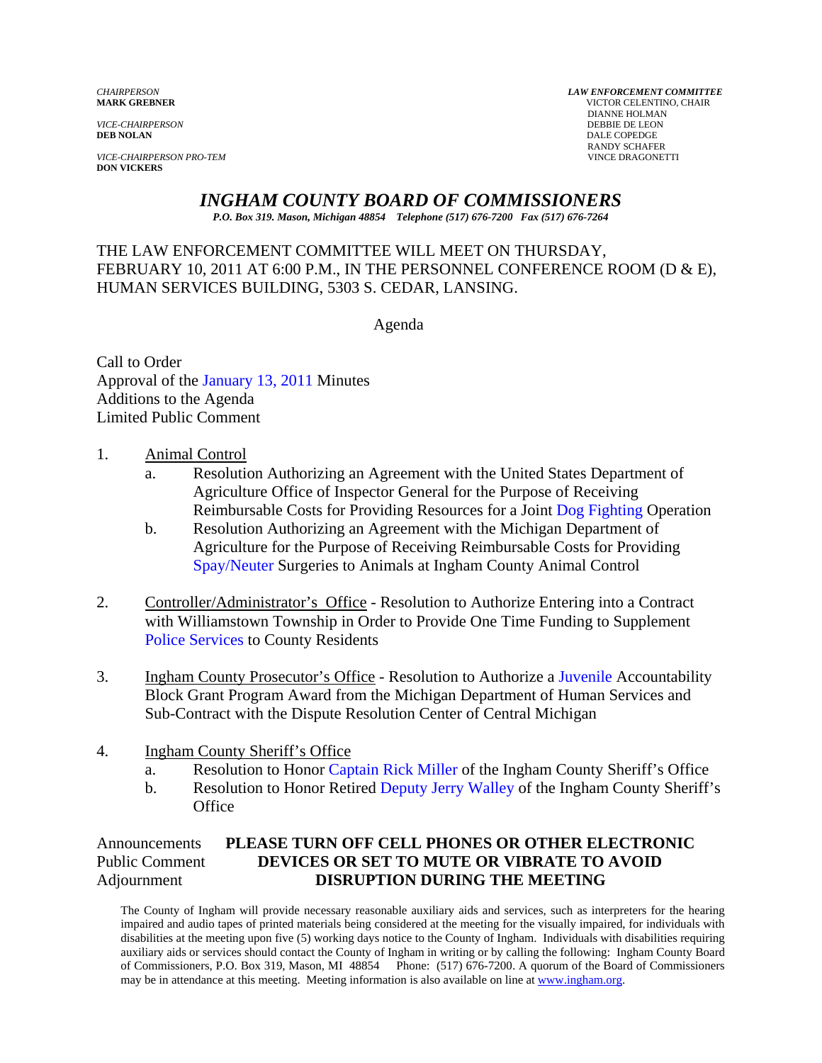*VICE-CHAIRPERSON*<br>**DEB NOLAN** 

**VICE-CHAIRPERSON PRO-TEM DON VICKERS** 

*CHAIRPERSON LAW ENFORCEMENT COMMITTEE* **MARK GREBNER** VICTOR CELENTINO, CHAIR **DIANNE HOLMAN<br>DEBBIE DE LEON** DALE COPEDGE RANDY SCHAFER<br>VINCE DRAGONETTI

# *INGHAM COUNTY BOARD OF COMMISSIONERS*

*P.O. Box 319. Mason, Michigan 48854 Telephone (517) 676-7200 Fax (517) 676-7264*

# THE LAW ENFORCEMENT COMMITTEE WILL MEET ON THURSDAY, FEBRUARY 10, 2011 AT 6:00 P.M., IN THE PERSONNEL CONFERENCE ROOM (D & E), HUMAN SERVICES BUILDING, 5303 S. CEDAR, LANSING.

Agenda

Call to Order Approval of [the January 13, 2011 Minutes](#page-1-0)  Additions to the Agenda Limited Public Comment

#### 1. Animal Control

- a. Resolution Authorizing an Agreement with the United States Department of Agriculture Office of Inspector General for the Purpose of Receiving Reimbursable Costs for Providing Resources for a Joi[nt Dog Fighting Operation](#page-5-0)
- b. Resolution Authorizing an Agreement with the Michigan Department of Agriculture for the Purpose of Receiving Reimbursable Costs for Providing [Spay/Neuter Surgeri](#page-5-0)es to Animals at Ingham County Animal Control
- 2. Controller/Administrator's Office Resolution to Authorize Entering into a Contract with Williamstown Township in Order to Provide One Time Funding to Supplement [Police Services to County Resid](#page-9-0)ents
- 3. Ingham County Prosecutor's Office Resolution to Authori[ze a Juvenile Accountab](#page-13-0)ility Block Grant Program Award from the Michigan Department of Human Services and Sub-Contract with the Dispute Resolution Center of Central Michigan
- 4. Ingham County Sheriff's Office
	- a. Resolution to Hon[or Captain Rick Miller of t](#page-15-0)he Ingham County Sheriff's Office
	- b. Resolution to Honor Retired [Deputy Jerry Walley of the In](#page-16-0)gham County Sheriff's **Office**

Announcements **PLEASE TURN OFF CELL PHONES OR OTHER ELECTRONIC** Public Comment **DEVICES OR SET TO MUTE OR VIBRATE TO AVOID** Adjournment **DISRUPTION DURING THE MEETING** 

The County of Ingham will provide necessary reasonable auxiliary aids and services, such as interpreters for the hearing impaired and audio tapes of printed materials being considered at the meeting for the visually impaired, for individuals with disabilities at the meeting upon five (5) working days notice to the County of Ingham. Individuals with disabilities requiring auxiliary aids or services should contact the County of Ingham in writing or by calling the following: Ingham County Board of Commissioners, P.O. Box 319, Mason, MI 48854 Phone: (517) 676-7200. A quorum of the Board of Commissioners may be in attendance at this meeting. Meeting information is also available on line at www.ingham.org.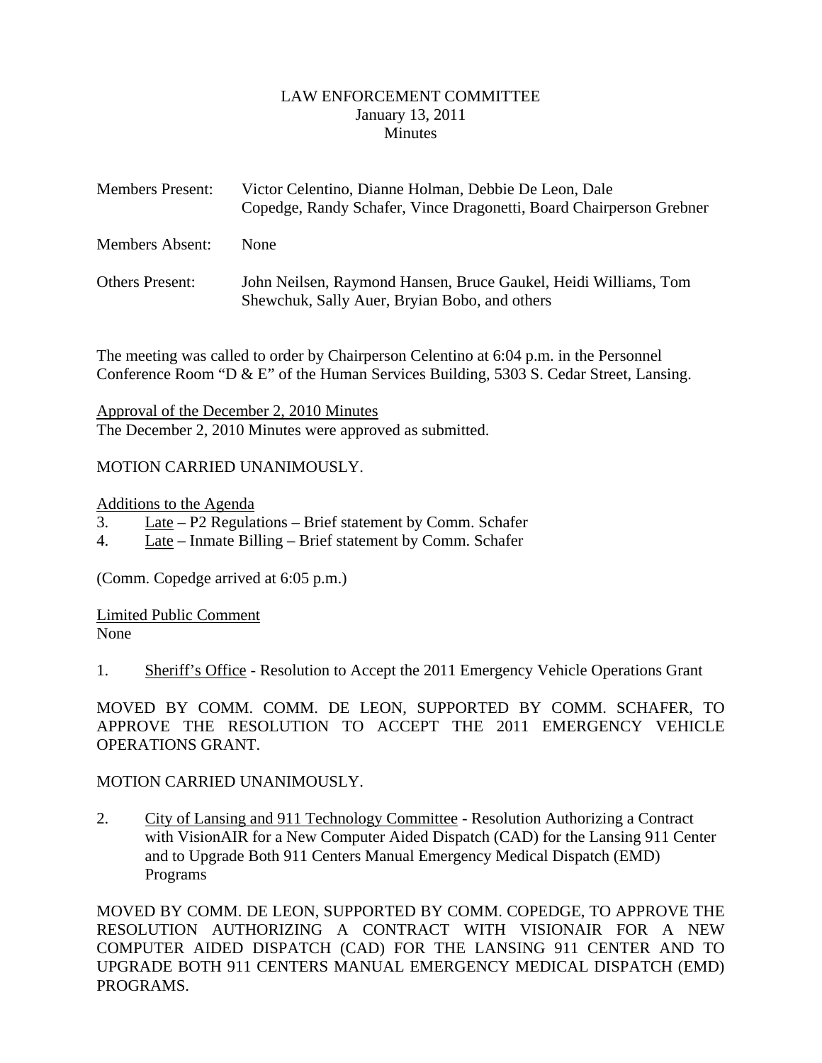#### LAW ENFORCEMENT COMMITTEE January 13, 2011 Minutes

<span id="page-1-0"></span>

| <b>Members Present:</b> | Victor Celentino, Dianne Holman, Debbie De Leon, Dale<br>Copedge, Randy Schafer, Vince Dragonetti, Board Chairperson Grebner |
|-------------------------|------------------------------------------------------------------------------------------------------------------------------|
| <b>Members Absent:</b>  | <b>None</b>                                                                                                                  |
| <b>Others Present:</b>  | John Neilsen, Raymond Hansen, Bruce Gaukel, Heidi Williams, Tom<br>Shewchuk, Sally Auer, Bryian Bobo, and others             |

The meeting was called to order by Chairperson Celentino at 6:04 p.m. in the Personnel Conference Room "D & E" of the Human Services Building, 5303 S. Cedar Street, Lansing.

Approval of the December 2, 2010 Minutes The December 2, 2010 Minutes were approved as submitted.

#### MOTION CARRIED UNANIMOUSLY.

Additions to the Agenda

- 3. Late P2 Regulations Brief statement by Comm. Schafer
- 4. Late Inmate Billing Brief statement by Comm. Schafer

(Comm. Copedge arrived at 6:05 p.m.)

Limited Public Comment None

1. Sheriff's Office - Resolution to Accept the 2011 Emergency Vehicle Operations Grant

MOVED BY COMM. COMM. DE LEON, SUPPORTED BY COMM. SCHAFER, TO APPROVE THE RESOLUTION TO ACCEPT THE 2011 EMERGENCY VEHICLE OPERATIONS GRANT.

#### MOTION CARRIED UNANIMOUSLY.

2. City of Lansing and 911 Technology Committee - Resolution Authorizing a Contract with VisionAIR for a New Computer Aided Dispatch (CAD) for the Lansing 911 Center and to Upgrade Both 911 Centers Manual Emergency Medical Dispatch (EMD) Programs

MOVED BY COMM. DE LEON, SUPPORTED BY COMM. COPEDGE, TO APPROVE THE RESOLUTION AUTHORIZING A CONTRACT WITH VISIONAIR FOR A NEW COMPUTER AIDED DISPATCH (CAD) FOR THE LANSING 911 CENTER AND TO UPGRADE BOTH 911 CENTERS MANUAL EMERGENCY MEDICAL DISPATCH (EMD) PROGRAMS.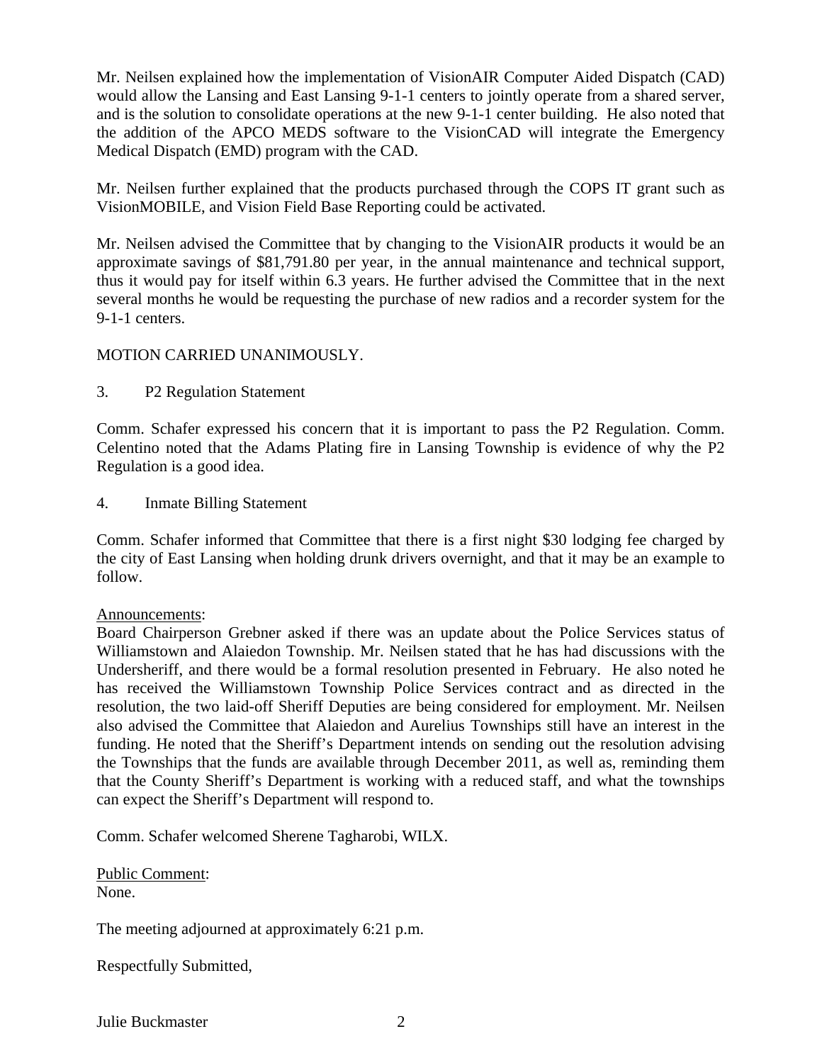Mr. Neilsen explained how the implementation of VisionAIR Computer Aided Dispatch (CAD) would allow the Lansing and East Lansing 9-1-1 centers to jointly operate from a shared server, and is the solution to consolidate operations at the new 9-1-1 center building. He also noted that the addition of the APCO MEDS software to the VisionCAD will integrate the Emergency Medical Dispatch (EMD) program with the CAD.

Mr. Neilsen further explained that the products purchased through the COPS IT grant such as VisionMOBILE, and Vision Field Base Reporting could be activated.

Mr. Neilsen advised the Committee that by changing to the VisionAIR products it would be an approximate savings of \$81,791.80 per year, in the annual maintenance and technical support, thus it would pay for itself within 6.3 years. He further advised the Committee that in the next several months he would be requesting the purchase of new radios and a recorder system for the 9-1-1 centers.

#### MOTION CARRIED UNANIMOUSLY.

3. P2 Regulation Statement

Comm. Schafer expressed his concern that it is important to pass the P2 Regulation. Comm. Celentino noted that the Adams Plating fire in Lansing Township is evidence of why the P2 Regulation is a good idea.

4. Inmate Billing Statement

Comm. Schafer informed that Committee that there is a first night \$30 lodging fee charged by the city of East Lansing when holding drunk drivers overnight, and that it may be an example to follow.

#### Announcements:

Board Chairperson Grebner asked if there was an update about the Police Services status of Williamstown and Alaiedon Township. Mr. Neilsen stated that he has had discussions with the Undersheriff, and there would be a formal resolution presented in February. He also noted he has received the Williamstown Township Police Services contract and as directed in the resolution, the two laid-off Sheriff Deputies are being considered for employment. Mr. Neilsen also advised the Committee that Alaiedon and Aurelius Townships still have an interest in the funding. He noted that the Sheriff's Department intends on sending out the resolution advising the Townships that the funds are available through December 2011, as well as, reminding them that the County Sheriff's Department is working with a reduced staff, and what the townships can expect the Sheriff's Department will respond to.

Comm. Schafer welcomed Sherene Tagharobi, WILX.

Public Comment: None.

The meeting adjourned at approximately 6:21 p.m.

Respectfully Submitted,

Julie Buckmaster 2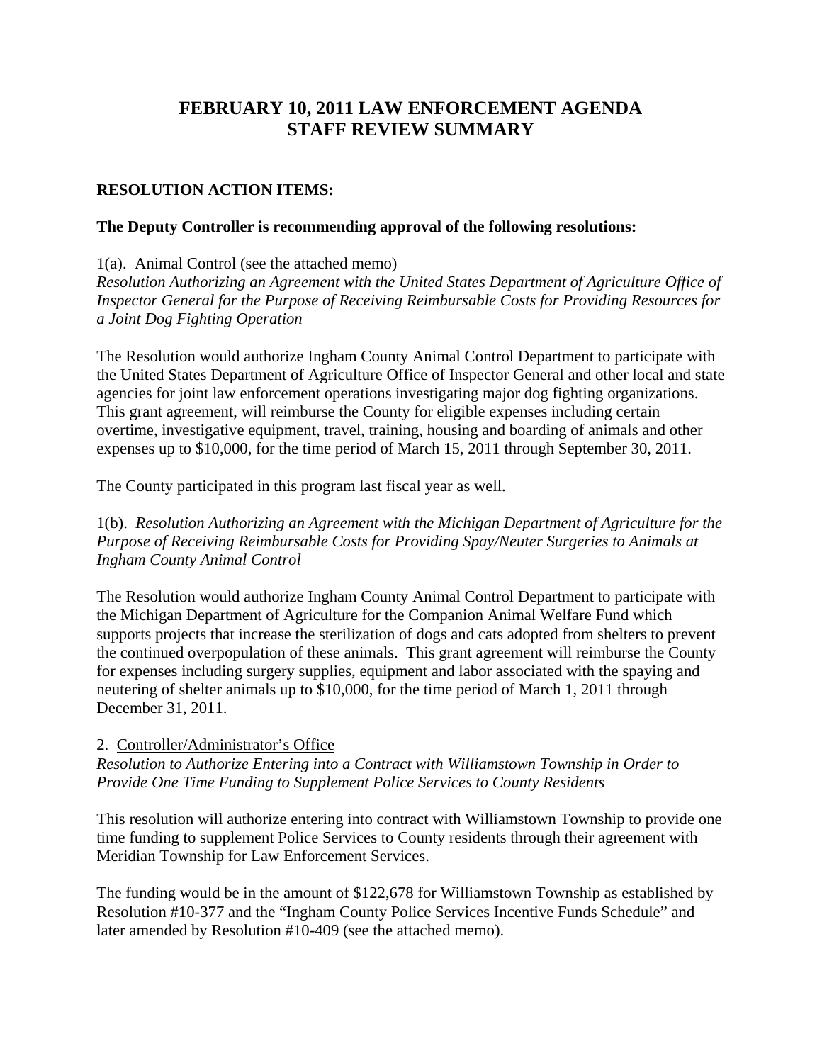# **FEBRUARY 10, 2011 LAW ENFORCEMENT AGENDA STAFF REVIEW SUMMARY**

#### **RESOLUTION ACTION ITEMS:**

#### **The Deputy Controller is recommending approval of the following resolutions:**

1(a). Animal Control (see the attached memo)

*Resolution Authorizing an Agreement with the United States Department of Agriculture Office of Inspector General for the Purpose of Receiving Reimbursable Costs for Providing Resources for a Joint Dog Fighting Operation* 

The Resolution would authorize Ingham County Animal Control Department to participate with the United States Department of Agriculture Office of Inspector General and other local and state agencies for joint law enforcement operations investigating major dog fighting organizations. This grant agreement, will reimburse the County for eligible expenses including certain overtime, investigative equipment, travel, training, housing and boarding of animals and other expenses up to \$10,000, for the time period of March 15, 2011 through September 30, 2011.

The County participated in this program last fiscal year as well.

1(b). *Resolution Authorizing an Agreement with the Michigan Department of Agriculture for the Purpose of Receiving Reimbursable Costs for Providing Spay/Neuter Surgeries to Animals at Ingham County Animal Control* 

The Resolution would authorize Ingham County Animal Control Department to participate with the Michigan Department of Agriculture for the Companion Animal Welfare Fund which supports projects that increase the sterilization of dogs and cats adopted from shelters to prevent the continued overpopulation of these animals. This grant agreement will reimburse the County for expenses including surgery supplies, equipment and labor associated with the spaying and neutering of shelter animals up to \$10,000, for the time period of March 1, 2011 through December 31, 2011.

#### 2. Controller/Administrator's Office

*Resolution to Authorize Entering into a Contract with Williamstown Township in Order to Provide One Time Funding to Supplement Police Services to County Residents* 

This resolution will authorize entering into contract with Williamstown Township to provide one time funding to supplement Police Services to County residents through their agreement with Meridian Township for Law Enforcement Services.

The funding would be in the amount of \$122,678 for Williamstown Township as established by Resolution #10-377 and the "Ingham County Police Services Incentive Funds Schedule" and later amended by Resolution #10-409 (see the attached memo).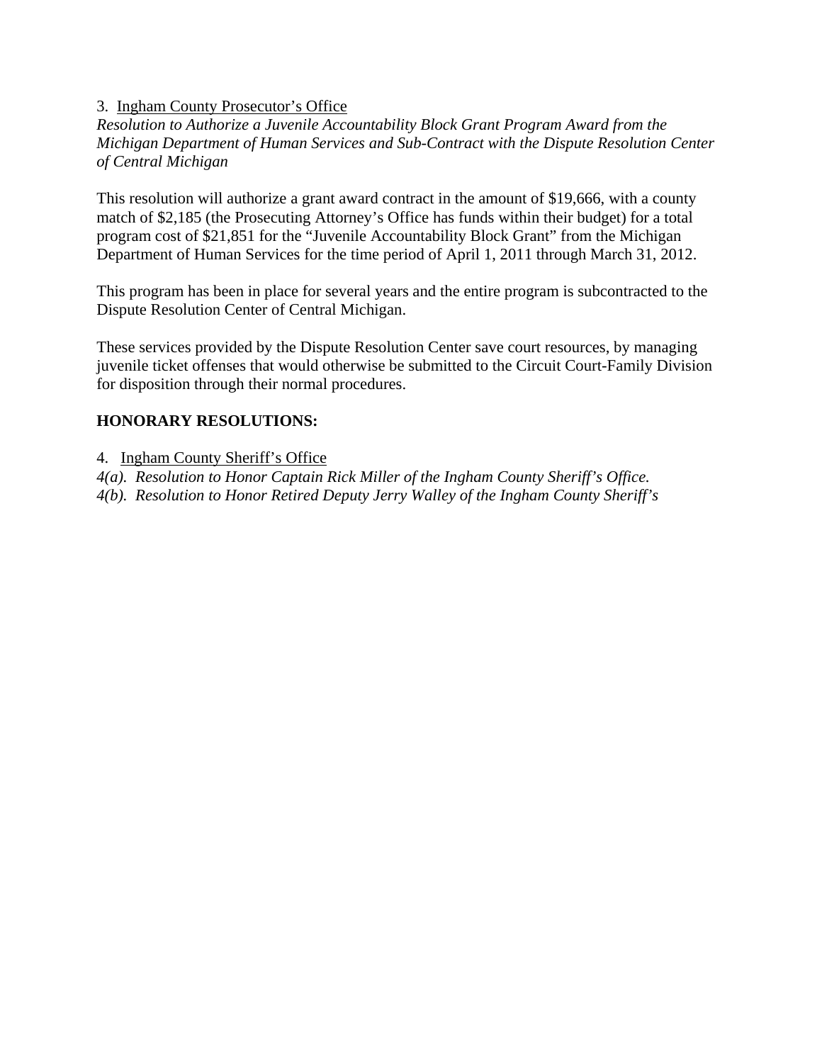# 3. Ingham County Prosecutor's Office

*Resolution to Authorize a Juvenile Accountability Block Grant Program Award from the Michigan Department of Human Services and Sub-Contract with the Dispute Resolution Center of Central Michigan* 

This resolution will authorize a grant award contract in the amount of \$19,666, with a county match of \$2,185 (the Prosecuting Attorney's Office has funds within their budget) for a total program cost of \$21,851 for the "Juvenile Accountability Block Grant" from the Michigan Department of Human Services for the time period of April 1, 2011 through March 31, 2012.

This program has been in place for several years and the entire program is subcontracted to the Dispute Resolution Center of Central Michigan.

These services provided by the Dispute Resolution Center save court resources, by managing juvenile ticket offenses that would otherwise be submitted to the Circuit Court-Family Division for disposition through their normal procedures.

# **HONORARY RESOLUTIONS:**

4. Ingham County Sheriff's Office

*4(a). Resolution to Honor Captain Rick Miller of the Ingham County Sheriff's Office. 4(b). Resolution to Honor Retired Deputy Jerry Walley of the Ingham County Sheriff's*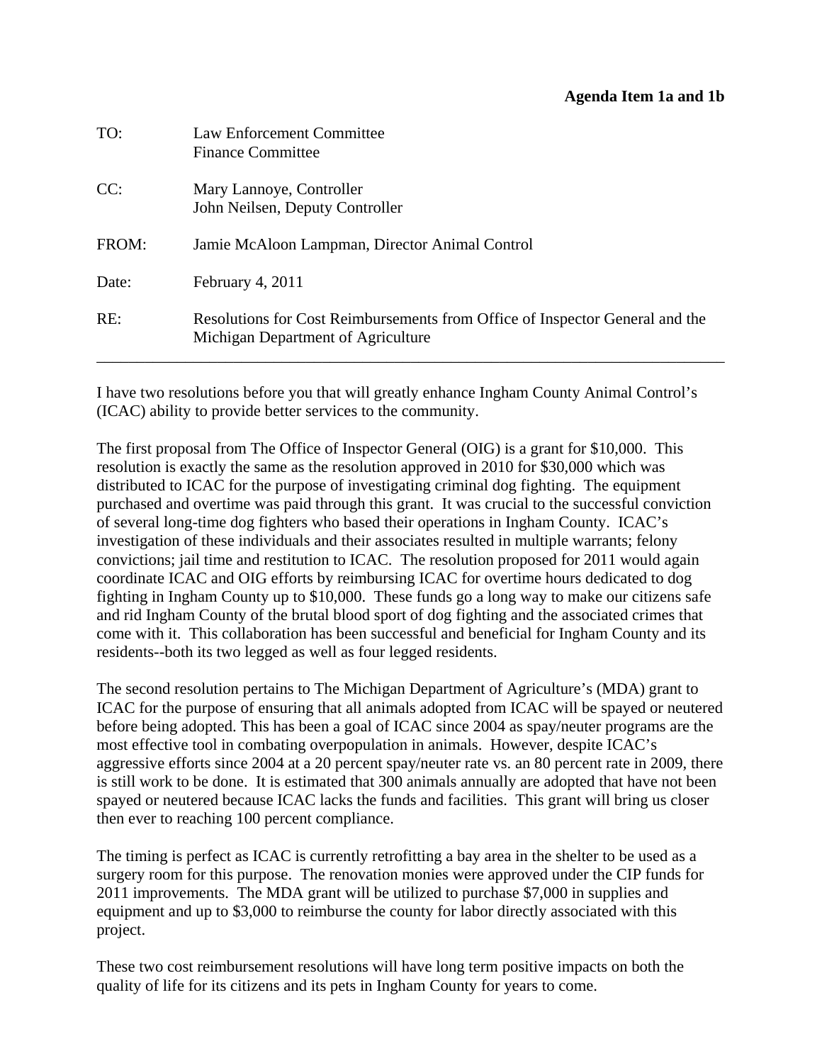#### **Agenda Item 1a and 1b**

<span id="page-5-0"></span>

| TO:   | Law Enforcement Committee<br><b>Finance Committee</b>                                                              |
|-------|--------------------------------------------------------------------------------------------------------------------|
| CC:   | Mary Lannoye, Controller<br>John Neilsen, Deputy Controller                                                        |
| FROM: | Jamie McAloon Lampman, Director Animal Control                                                                     |
| Date: | February 4, 2011                                                                                                   |
| RE:   | Resolutions for Cost Reimbursements from Office of Inspector General and the<br>Michigan Department of Agriculture |

I have two resolutions before you that will greatly enhance Ingham County Animal Control's (ICAC) ability to provide better services to the community.

The first proposal from The Office of Inspector General (OIG) is a grant for \$10,000. This resolution is exactly the same as the resolution approved in 2010 for \$30,000 which was distributed to ICAC for the purpose of investigating criminal dog fighting. The equipment purchased and overtime was paid through this grant. It was crucial to the successful conviction of several long-time dog fighters who based their operations in Ingham County. ICAC's investigation of these individuals and their associates resulted in multiple warrants; felony convictions; jail time and restitution to ICAC. The resolution proposed for 2011 would again coordinate ICAC and OIG efforts by reimbursing ICAC for overtime hours dedicated to dog fighting in Ingham County up to \$10,000. These funds go a long way to make our citizens safe and rid Ingham County of the brutal blood sport of dog fighting and the associated crimes that come with it. This collaboration has been successful and beneficial for Ingham County and its residents--both its two legged as well as four legged residents.

The second resolution pertains to The Michigan Department of Agriculture's (MDA) grant to ICAC for the purpose of ensuring that all animals adopted from ICAC will be spayed or neutered before being adopted. This has been a goal of ICAC since 2004 as spay/neuter programs are the most effective tool in combating overpopulation in animals. However, despite ICAC's aggressive efforts since 2004 at a 20 percent spay/neuter rate vs. an 80 percent rate in 2009, there is still work to be done. It is estimated that 300 animals annually are adopted that have not been spayed or neutered because ICAC lacks the funds and facilities. This grant will bring us closer then ever to reaching 100 percent compliance.

The timing is perfect as ICAC is currently retrofitting a bay area in the shelter to be used as a surgery room for this purpose. The renovation monies were approved under the CIP funds for 2011 improvements. The MDA grant will be utilized to purchase \$7,000 in supplies and equipment and up to \$3,000 to reimburse the county for labor directly associated with this project.

These two cost reimbursement resolutions will have long term positive impacts on both the quality of life for its citizens and its pets in Ingham County for years to come.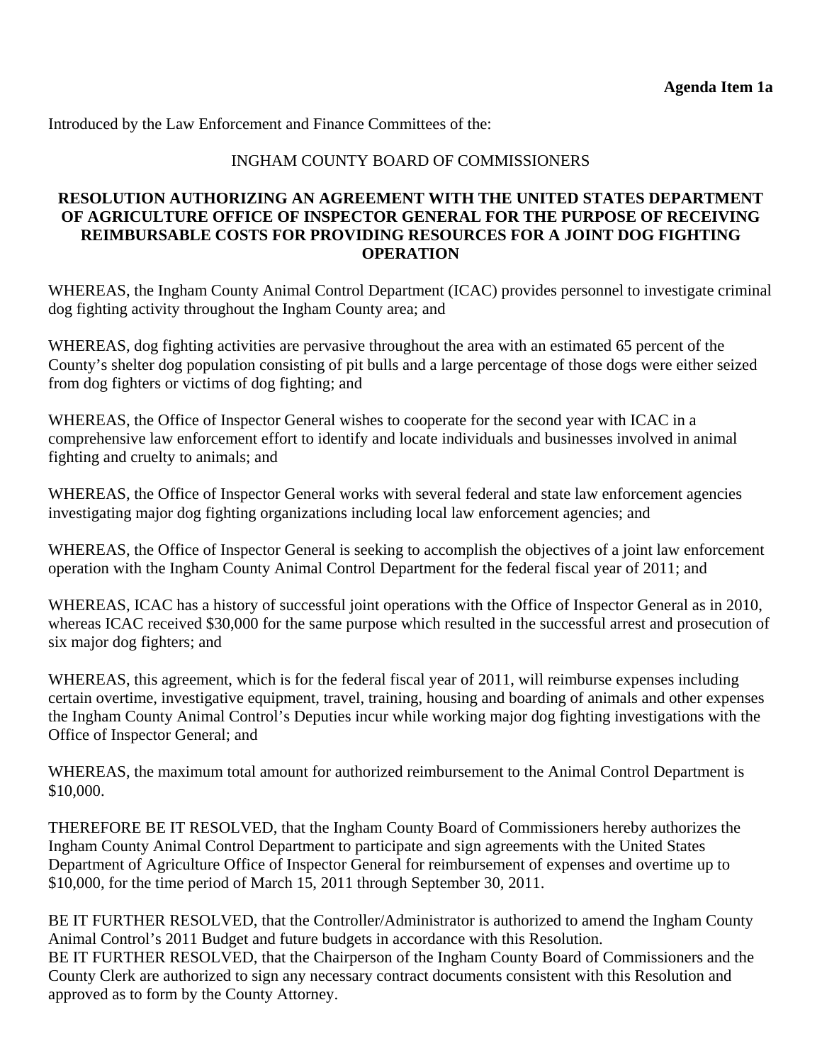# INGHAM COUNTY BOARD OF COMMISSIONERS

# **RESOLUTION AUTHORIZING AN AGREEMENT WITH THE UNITED STATES DEPARTMENT OF AGRICULTURE OFFICE OF INSPECTOR GENERAL FOR THE PURPOSE OF RECEIVING REIMBURSABLE COSTS FOR PROVIDING RESOURCES FOR A JOINT DOG FIGHTING OPERATION**

WHEREAS, the Ingham County Animal Control Department (ICAC) provides personnel to investigate criminal dog fighting activity throughout the Ingham County area; and

WHEREAS, dog fighting activities are pervasive throughout the area with an estimated 65 percent of the County's shelter dog population consisting of pit bulls and a large percentage of those dogs were either seized from dog fighters or victims of dog fighting; and

WHEREAS, the Office of Inspector General wishes to cooperate for the second year with ICAC in a comprehensive law enforcement effort to identify and locate individuals and businesses involved in animal fighting and cruelty to animals; and

WHEREAS, the Office of Inspector General works with several federal and state law enforcement agencies investigating major dog fighting organizations including local law enforcement agencies; and

WHEREAS, the Office of Inspector General is seeking to accomplish the objectives of a joint law enforcement operation with the Ingham County Animal Control Department for the federal fiscal year of 2011; and

WHEREAS, ICAC has a history of successful joint operations with the Office of Inspector General as in 2010, whereas ICAC received \$30,000 for the same purpose which resulted in the successful arrest and prosecution of six major dog fighters; and

WHEREAS, this agreement, which is for the federal fiscal year of 2011, will reimburse expenses including certain overtime, investigative equipment, travel, training, housing and boarding of animals and other expenses the Ingham County Animal Control's Deputies incur while working major dog fighting investigations with the Office of Inspector General; and

WHEREAS, the maximum total amount for authorized reimbursement to the Animal Control Department is \$10,000.

THEREFORE BE IT RESOLVED, that the Ingham County Board of Commissioners hereby authorizes the Ingham County Animal Control Department to participate and sign agreements with the United States Department of Agriculture Office of Inspector General for reimbursement of expenses and overtime up to \$10,000, for the time period of March 15, 2011 through September 30, 2011.

BE IT FURTHER RESOLVED, that the Controller/Administrator is authorized to amend the Ingham County Animal Control's 2011 Budget and future budgets in accordance with this Resolution. BE IT FURTHER RESOLVED, that the Chairperson of the Ingham County Board of Commissioners and the County Clerk are authorized to sign any necessary contract documents consistent with this Resolution and approved as to form by the County Attorney.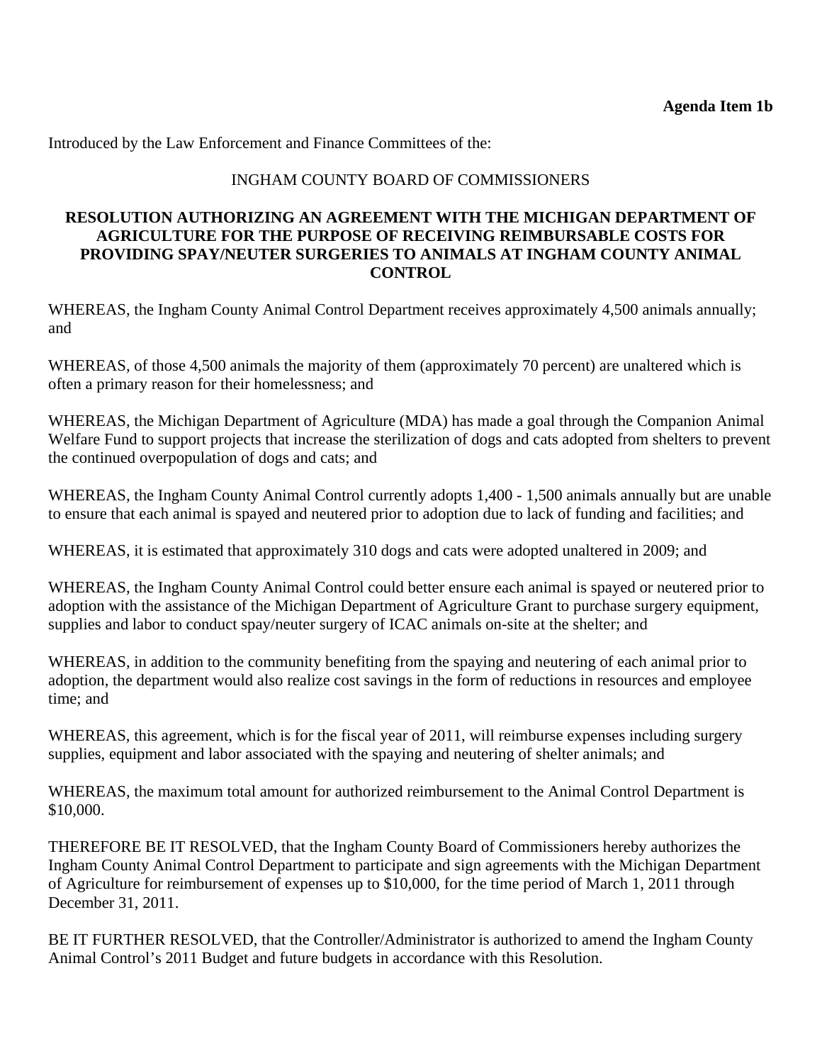# INGHAM COUNTY BOARD OF COMMISSIONERS

#### **RESOLUTION AUTHORIZING AN AGREEMENT WITH THE MICHIGAN DEPARTMENT OF AGRICULTURE FOR THE PURPOSE OF RECEIVING REIMBURSABLE COSTS FOR PROVIDING SPAY/NEUTER SURGERIES TO ANIMALS AT INGHAM COUNTY ANIMAL CONTROL**

WHEREAS, the Ingham County Animal Control Department receives approximately 4,500 animals annually; and

WHEREAS, of those 4,500 animals the majority of them (approximately 70 percent) are unaltered which is often a primary reason for their homelessness; and

WHEREAS, the Michigan Department of Agriculture (MDA) has made a goal through the Companion Animal Welfare Fund to support projects that increase the sterilization of dogs and cats adopted from shelters to prevent the continued overpopulation of dogs and cats; and

WHEREAS, the Ingham County Animal Control currently adopts 1,400 - 1,500 animals annually but are unable to ensure that each animal is spayed and neutered prior to adoption due to lack of funding and facilities; and

WHEREAS, it is estimated that approximately 310 dogs and cats were adopted unaltered in 2009; and

WHEREAS, the Ingham County Animal Control could better ensure each animal is spayed or neutered prior to adoption with the assistance of the Michigan Department of Agriculture Grant to purchase surgery equipment, supplies and labor to conduct spay/neuter surgery of ICAC animals on-site at the shelter; and

WHEREAS, in addition to the community benefiting from the spaying and neutering of each animal prior to adoption, the department would also realize cost savings in the form of reductions in resources and employee time; and

WHEREAS, this agreement, which is for the fiscal year of 2011, will reimburse expenses including surgery supplies, equipment and labor associated with the spaying and neutering of shelter animals; and

WHEREAS, the maximum total amount for authorized reimbursement to the Animal Control Department is \$10,000.

THEREFORE BE IT RESOLVED, that the Ingham County Board of Commissioners hereby authorizes the Ingham County Animal Control Department to participate and sign agreements with the Michigan Department of Agriculture for reimbursement of expenses up to \$10,000, for the time period of March 1, 2011 through December 31, 2011.

BE IT FURTHER RESOLVED, that the Controller/Administrator is authorized to amend the Ingham County Animal Control's 2011 Budget and future budgets in accordance with this Resolution.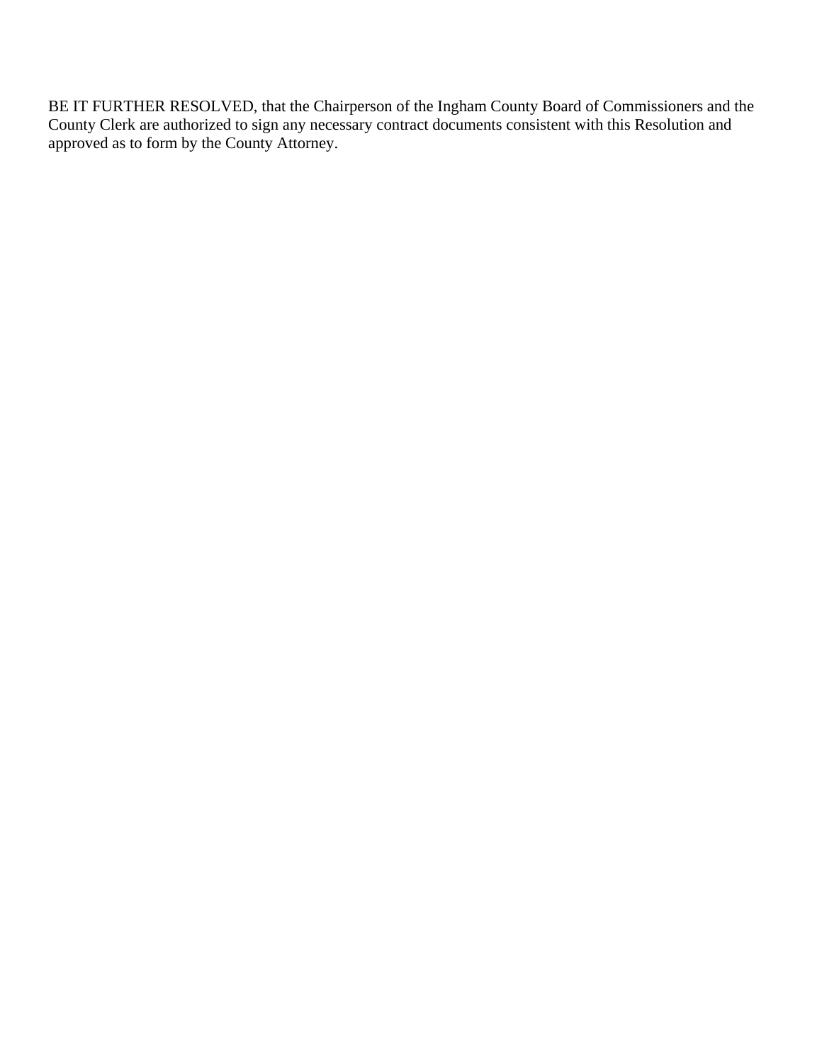BE IT FURTHER RESOLVED, that the Chairperson of the Ingham County Board of Commissioners and the County Clerk are authorized to sign any necessary contract documents consistent with this Resolution and approved as to form by the County Attorney.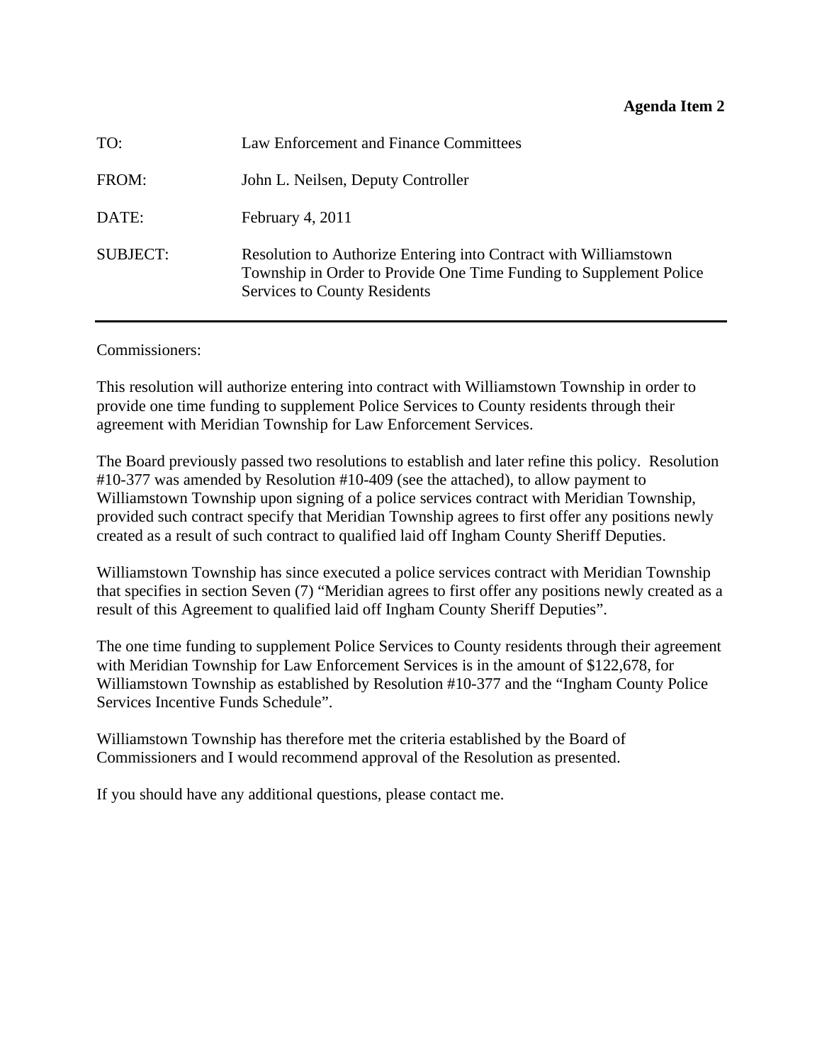#### **Agenda Item 2**

<span id="page-9-0"></span>

| TO:             | Law Enforcement and Finance Committees                                                                                                                                        |
|-----------------|-------------------------------------------------------------------------------------------------------------------------------------------------------------------------------|
| FROM:           | John L. Neilsen, Deputy Controller                                                                                                                                            |
| DATE:           | February 4, 2011                                                                                                                                                              |
| <b>SUBJECT:</b> | Resolution to Authorize Entering into Contract with Williamstown<br>Township in Order to Provide One Time Funding to Supplement Police<br><b>Services to County Residents</b> |

Commissioners:

This resolution will authorize entering into contract with Williamstown Township in order to provide one time funding to supplement Police Services to County residents through their agreement with Meridian Township for Law Enforcement Services.

The Board previously passed two resolutions to establish and later refine this policy. Resolution #10-377 was amended by Resolution #10-409 (see the attached), to allow payment to Williamstown Township upon signing of a police services contract with Meridian Township, provided such contract specify that Meridian Township agrees to first offer any positions newly created as a result of such contract to qualified laid off Ingham County Sheriff Deputies.

Williamstown Township has since executed a police services contract with Meridian Township that specifies in section Seven (7) "Meridian agrees to first offer any positions newly created as a result of this Agreement to qualified laid off Ingham County Sheriff Deputies".

The one time funding to supplement Police Services to County residents through their agreement with Meridian Township for Law Enforcement Services is in the amount of \$122,678, for Williamstown Township as established by Resolution #10-377 and the "Ingham County Police Services Incentive Funds Schedule".

Williamstown Township has therefore met the criteria established by the Board of Commissioners and I would recommend approval of the Resolution as presented.

If you should have any additional questions, please contact me.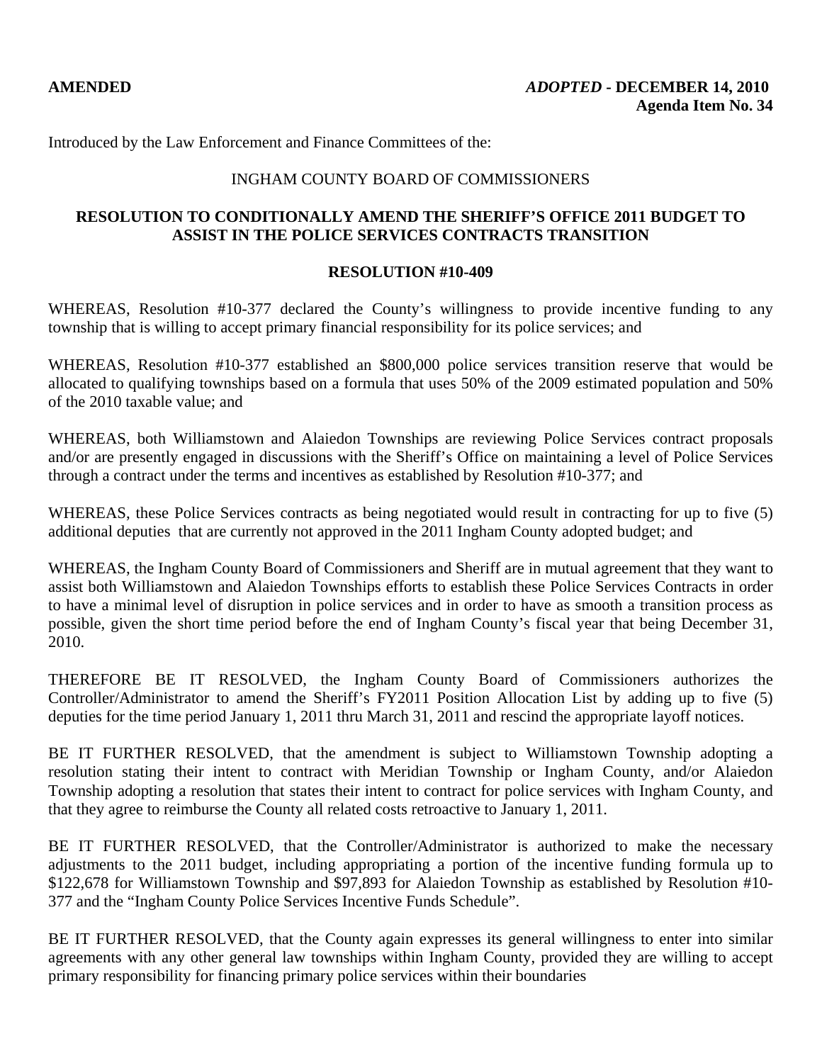#### INGHAM COUNTY BOARD OF COMMISSIONERS

# **RESOLUTION TO CONDITIONALLY AMEND THE SHERIFF'S OFFICE 2011 BUDGET TO ASSIST IN THE POLICE SERVICES CONTRACTS TRANSITION**

#### **RESOLUTION #10-409**

WHEREAS, Resolution #10-377 declared the County's willingness to provide incentive funding to any township that is willing to accept primary financial responsibility for its police services; and

WHEREAS, Resolution #10-377 established an \$800,000 police services transition reserve that would be allocated to qualifying townships based on a formula that uses 50% of the 2009 estimated population and 50% of the 2010 taxable value; and

WHEREAS, both Williamstown and Alaiedon Townships are reviewing Police Services contract proposals and/or are presently engaged in discussions with the Sheriff's Office on maintaining a level of Police Services through a contract under the terms and incentives as established by Resolution #10-377; and

WHEREAS, these Police Services contracts as being negotiated would result in contracting for up to five (5) additional deputies that are currently not approved in the 2011 Ingham County adopted budget; and

WHEREAS, the Ingham County Board of Commissioners and Sheriff are in mutual agreement that they want to assist both Williamstown and Alaiedon Townships efforts to establish these Police Services Contracts in order to have a minimal level of disruption in police services and in order to have as smooth a transition process as possible, given the short time period before the end of Ingham County's fiscal year that being December 31, 2010.

THEREFORE BE IT RESOLVED, the Ingham County Board of Commissioners authorizes the Controller/Administrator to amend the Sheriff's FY2011 Position Allocation List by adding up to five (5) deputies for the time period January 1, 2011 thru March 31, 2011 and rescind the appropriate layoff notices.

BE IT FURTHER RESOLVED, that the amendment is subject to Williamstown Township adopting a resolution stating their intent to contract with Meridian Township or Ingham County, and/or Alaiedon Township adopting a resolution that states their intent to contract for police services with Ingham County, and that they agree to reimburse the County all related costs retroactive to January 1, 2011.

BE IT FURTHER RESOLVED, that the Controller/Administrator is authorized to make the necessary adjustments to the 2011 budget, including appropriating a portion of the incentive funding formula up to \$122,678 for Williamstown Township and \$97,893 for Alaiedon Township as established by Resolution #10- 377 and the "Ingham County Police Services Incentive Funds Schedule".

BE IT FURTHER RESOLVED, that the County again expresses its general willingness to enter into similar agreements with any other general law townships within Ingham County, provided they are willing to accept primary responsibility for financing primary police services within their boundaries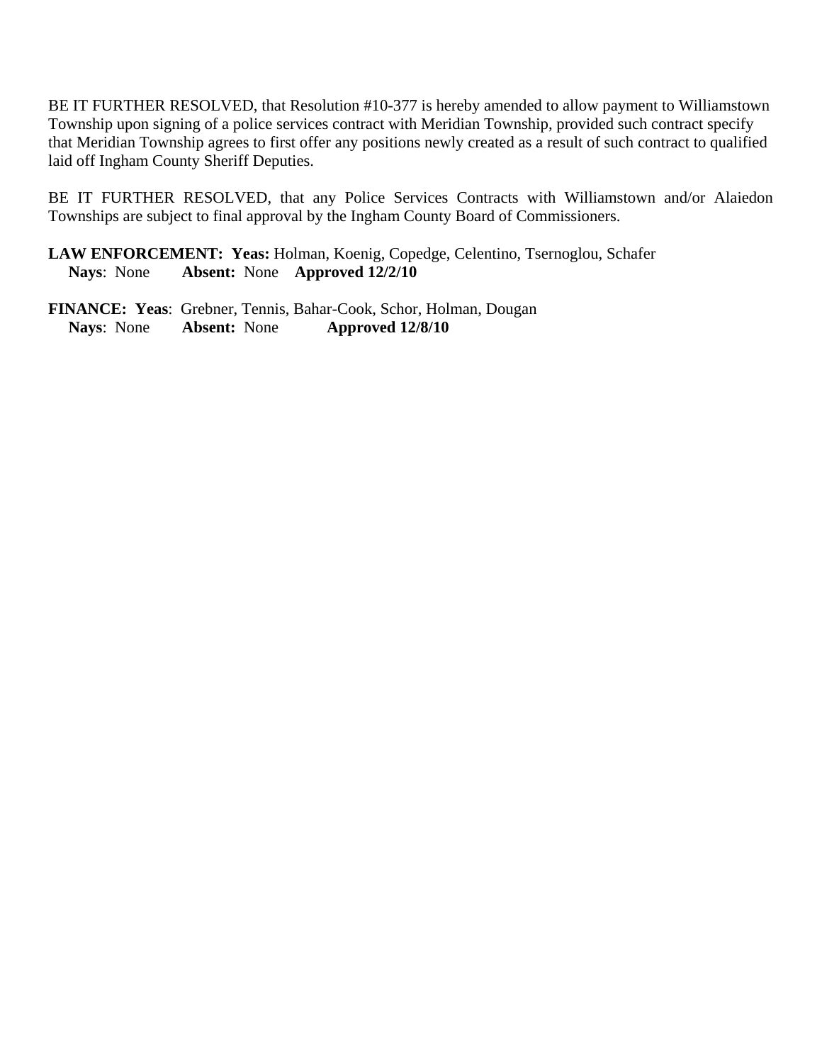BE IT FURTHER RESOLVED, that Resolution #10-377 is hereby amended to allow payment to Williamstown Township upon signing of a police services contract with Meridian Township, provided such contract specify that Meridian Township agrees to first offer any positions newly created as a result of such contract to qualified laid off Ingham County Sheriff Deputies.

BE IT FURTHER RESOLVED, that any Police Services Contracts with Williamstown and/or Alaiedon Townships are subject to final approval by the Ingham County Board of Commissioners.

**LAW ENFORCEMENT: Yeas:** Holman, Koenig, Copedge, Celentino, Tsernoglou, Schafer **Nays**: None **Absent:** None **Approved 12/2/10** 

**FINANCE: Yeas**: Grebner, Tennis, Bahar-Cook, Schor, Holman, Dougan  **Nays**: None **Absent:** None **Approved 12/8/10**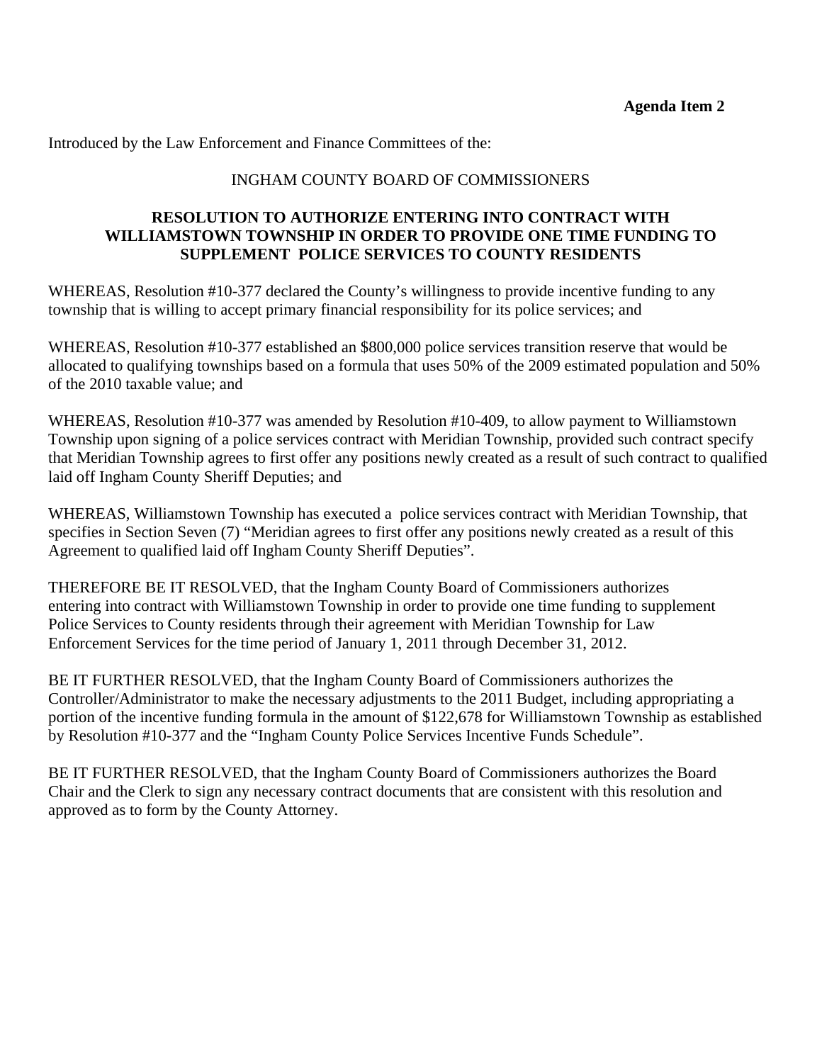# INGHAM COUNTY BOARD OF COMMISSIONERS

# **RESOLUTION TO AUTHORIZE ENTERING INTO CONTRACT WITH WILLIAMSTOWN TOWNSHIP IN ORDER TO PROVIDE ONE TIME FUNDING TO SUPPLEMENT POLICE SERVICES TO COUNTY RESIDENTS**

WHEREAS, Resolution #10-377 declared the County's willingness to provide incentive funding to any township that is willing to accept primary financial responsibility for its police services; and

WHEREAS, Resolution #10-377 established an \$800,000 police services transition reserve that would be allocated to qualifying townships based on a formula that uses 50% of the 2009 estimated population and 50% of the 2010 taxable value; and

WHEREAS, Resolution #10-377 was amended by Resolution #10-409, to allow payment to Williamstown Township upon signing of a police services contract with Meridian Township, provided such contract specify that Meridian Township agrees to first offer any positions newly created as a result of such contract to qualified laid off Ingham County Sheriff Deputies; and

WHEREAS, Williamstown Township has executed a police services contract with Meridian Township, that specifies in Section Seven (7) "Meridian agrees to first offer any positions newly created as a result of this Agreement to qualified laid off Ingham County Sheriff Deputies".

THEREFORE BE IT RESOLVED, that the Ingham County Board of Commissioners authorizes entering into contract with Williamstown Township in order to provide one time funding to supplement Police Services to County residents through their agreement with Meridian Township for Law Enforcement Services for the time period of January 1, 2011 through December 31, 2012.

BE IT FURTHER RESOLVED, that the Ingham County Board of Commissioners authorizes the Controller/Administrator to make the necessary adjustments to the 2011 Budget, including appropriating a portion of the incentive funding formula in the amount of \$122,678 for Williamstown Township as established by Resolution #10-377 and the "Ingham County Police Services Incentive Funds Schedule".

BE IT FURTHER RESOLVED, that the Ingham County Board of Commissioners authorizes the Board Chair and the Clerk to sign any necessary contract documents that are consistent with this resolution and approved as to form by the County Attorney.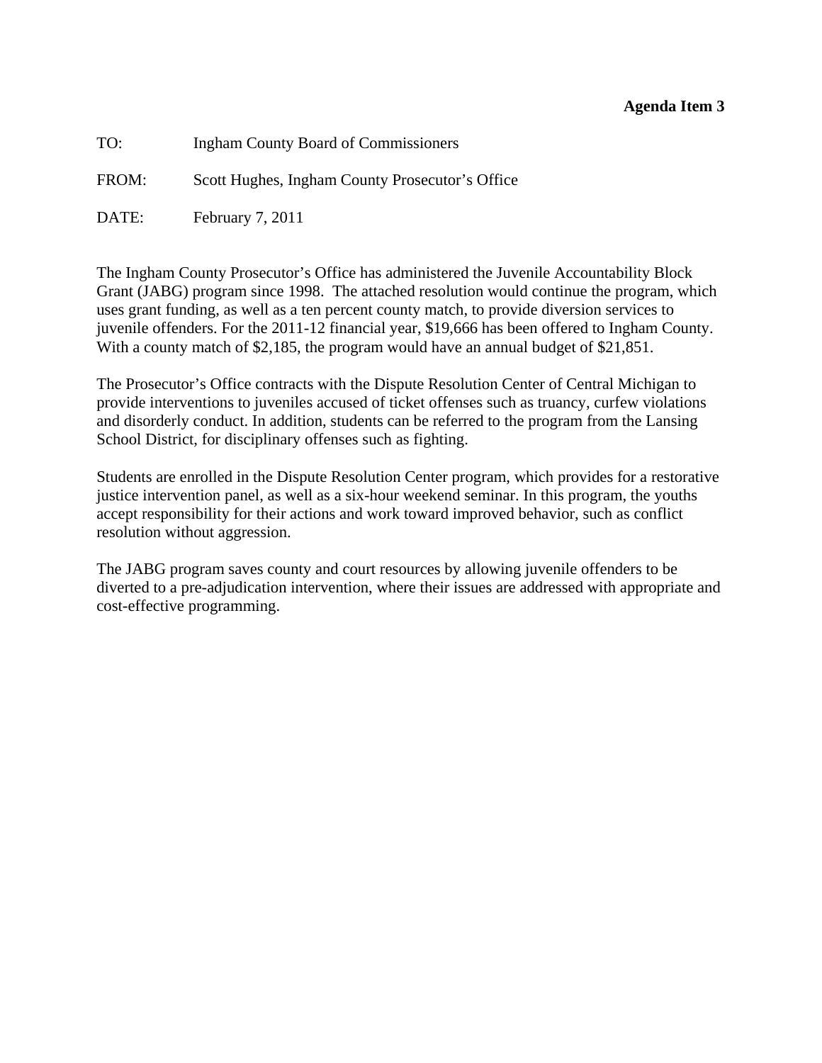#### **Agenda Item 3**

<span id="page-13-0"></span>

| TO:   | <b>Ingham County Board of Commissioners</b>     |
|-------|-------------------------------------------------|
| FROM: | Scott Hughes, Ingham County Prosecutor's Office |
| DATE: | February $7, 2011$                              |

The Ingham County Prosecutor's Office has administered the Juvenile Accountability Block Grant (JABG) program since 1998. The attached resolution would continue the program, which uses grant funding, as well as a ten percent county match, to provide diversion services to juvenile offenders. For the 2011-12 financial year, \$19,666 has been offered to Ingham County. With a county match of \$2,185, the program would have an annual budget of \$21,851.

The Prosecutor's Office contracts with the Dispute Resolution Center of Central Michigan to provide interventions to juveniles accused of ticket offenses such as truancy, curfew violations and disorderly conduct. In addition, students can be referred to the program from the Lansing School District, for disciplinary offenses such as fighting.

Students are enrolled in the Dispute Resolution Center program, which provides for a restorative justice intervention panel, as well as a six-hour weekend seminar. In this program, the youths accept responsibility for their actions and work toward improved behavior, such as conflict resolution without aggression.

The JABG program saves county and court resources by allowing juvenile offenders to be diverted to a pre-adjudication intervention, where their issues are addressed with appropriate and cost-effective programming.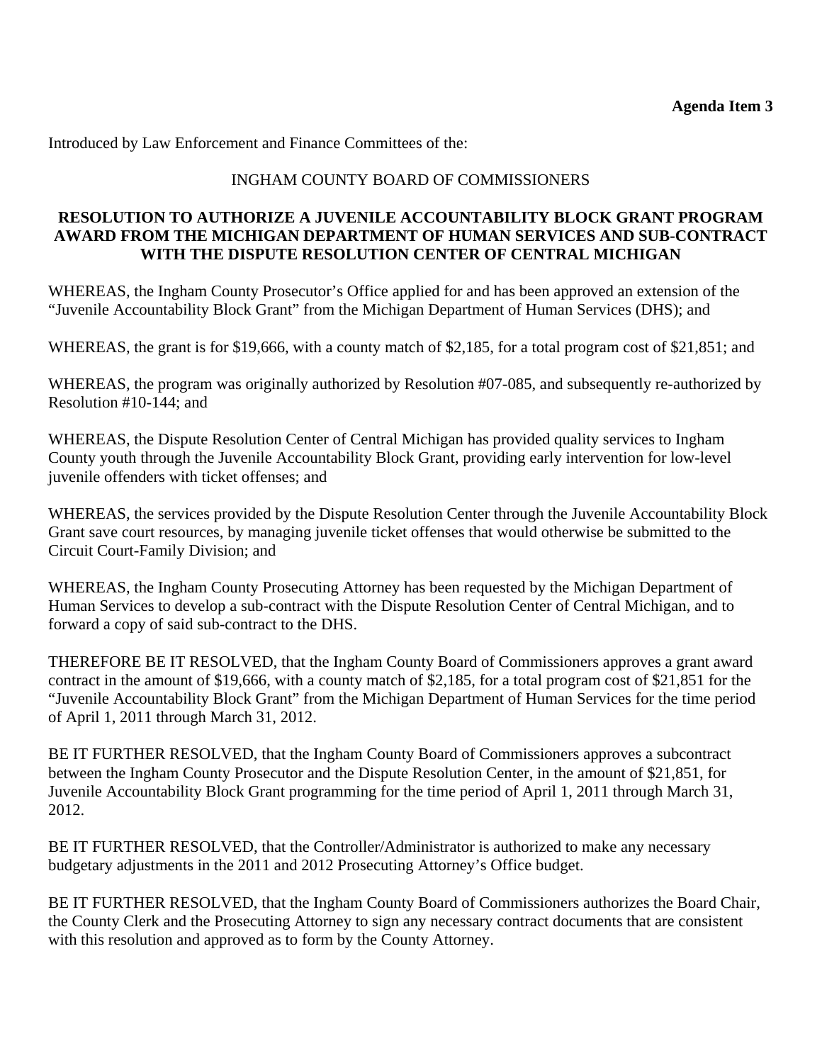# INGHAM COUNTY BOARD OF COMMISSIONERS

# **RESOLUTION TO AUTHORIZE A JUVENILE ACCOUNTABILITY BLOCK GRANT PROGRAM AWARD FROM THE MICHIGAN DEPARTMENT OF HUMAN SERVICES AND SUB-CONTRACT WITH THE DISPUTE RESOLUTION CENTER OF CENTRAL MICHIGAN**

WHEREAS, the Ingham County Prosecutor's Office applied for and has been approved an extension of the "Juvenile Accountability Block Grant" from the Michigan Department of Human Services (DHS); and

WHEREAS, the grant is for \$19,666, with a county match of \$2,185, for a total program cost of \$21,851; and

WHEREAS, the program was originally authorized by Resolution #07-085, and subsequently re-authorized by Resolution #10-144; and

WHEREAS, the Dispute Resolution Center of Central Michigan has provided quality services to Ingham County youth through the Juvenile Accountability Block Grant, providing early intervention for low-level juvenile offenders with ticket offenses; and

WHEREAS, the services provided by the Dispute Resolution Center through the Juvenile Accountability Block Grant save court resources, by managing juvenile ticket offenses that would otherwise be submitted to the Circuit Court-Family Division; and

WHEREAS, the Ingham County Prosecuting Attorney has been requested by the Michigan Department of Human Services to develop a sub-contract with the Dispute Resolution Center of Central Michigan, and to forward a copy of said sub-contract to the DHS.

THEREFORE BE IT RESOLVED, that the Ingham County Board of Commissioners approves a grant award contract in the amount of \$19,666, with a county match of \$2,185, for a total program cost of \$21,851 for the "Juvenile Accountability Block Grant" from the Michigan Department of Human Services for the time period of April 1, 2011 through March 31, 2012.

BE IT FURTHER RESOLVED, that the Ingham County Board of Commissioners approves a subcontract between the Ingham County Prosecutor and the Dispute Resolution Center, in the amount of \$21,851, for Juvenile Accountability Block Grant programming for the time period of April 1, 2011 through March 31, 2012.

BE IT FURTHER RESOLVED, that the Controller/Administrator is authorized to make any necessary budgetary adjustments in the 2011 and 2012 Prosecuting Attorney's Office budget.

BE IT FURTHER RESOLVED, that the Ingham County Board of Commissioners authorizes the Board Chair, the County Clerk and the Prosecuting Attorney to sign any necessary contract documents that are consistent with this resolution and approved as to form by the County Attorney.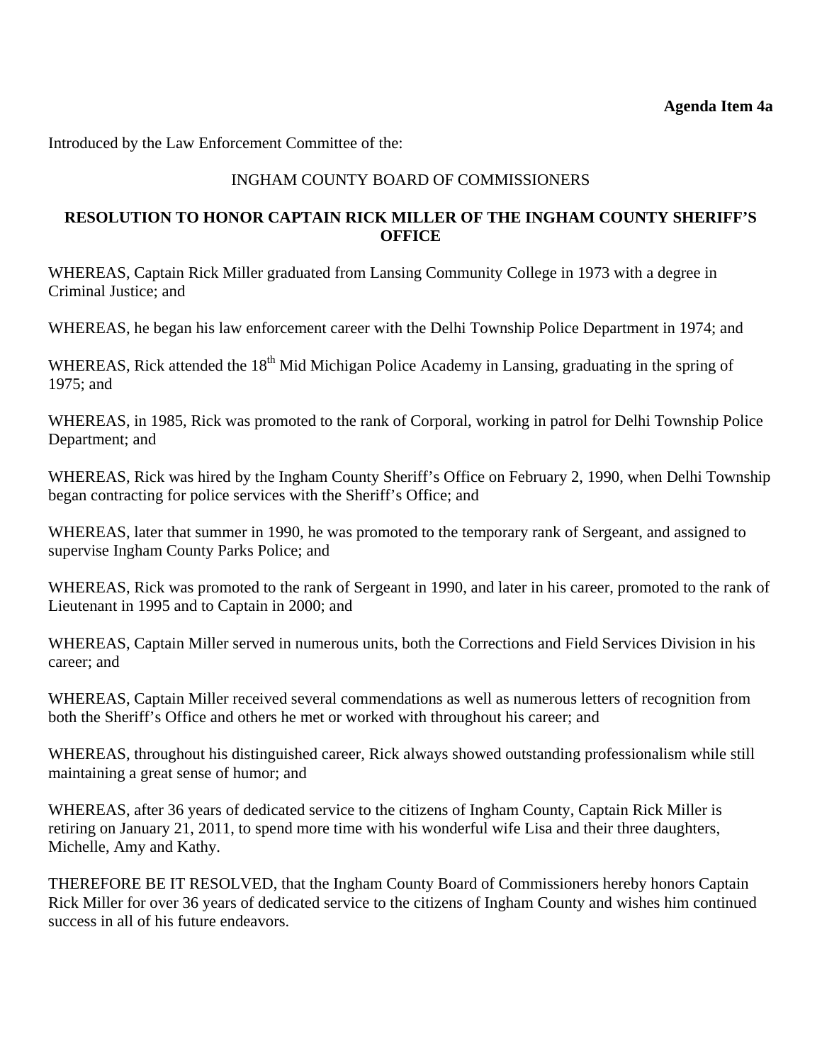<span id="page-15-0"></span>Introduced by the Law Enforcement Committee of the:

# INGHAM COUNTY BOARD OF COMMISSIONERS

# **RESOLUTION TO HONOR CAPTAIN RICK MILLER OF THE INGHAM COUNTY SHERIFF'S OFFICE**

WHEREAS, Captain Rick Miller graduated from Lansing Community College in 1973 with a degree in Criminal Justice; and

WHEREAS, he began his law enforcement career with the Delhi Township Police Department in 1974; and

WHEREAS, Rick attended the 18<sup>th</sup> Mid Michigan Police Academy in Lansing, graduating in the spring of 1975; and

WHEREAS, in 1985, Rick was promoted to the rank of Corporal, working in patrol for Delhi Township Police Department; and

WHEREAS, Rick was hired by the Ingham County Sheriff's Office on February 2, 1990, when Delhi Township began contracting for police services with the Sheriff's Office; and

WHEREAS, later that summer in 1990, he was promoted to the temporary rank of Sergeant, and assigned to supervise Ingham County Parks Police; and

WHEREAS, Rick was promoted to the rank of Sergeant in 1990, and later in his career, promoted to the rank of Lieutenant in 1995 and to Captain in 2000; and

WHEREAS, Captain Miller served in numerous units, both the Corrections and Field Services Division in his career; and

WHEREAS, Captain Miller received several commendations as well as numerous letters of recognition from both the Sheriff's Office and others he met or worked with throughout his career; and

WHEREAS, throughout his distinguished career, Rick always showed outstanding professionalism while still maintaining a great sense of humor; and

WHEREAS, after 36 years of dedicated service to the citizens of Ingham County, Captain Rick Miller is retiring on January 21, 2011, to spend more time with his wonderful wife Lisa and their three daughters, Michelle, Amy and Kathy.

THEREFORE BE IT RESOLVED, that the Ingham County Board of Commissioners hereby honors Captain Rick Miller for over 36 years of dedicated service to the citizens of Ingham County and wishes him continued success in all of his future endeavors.